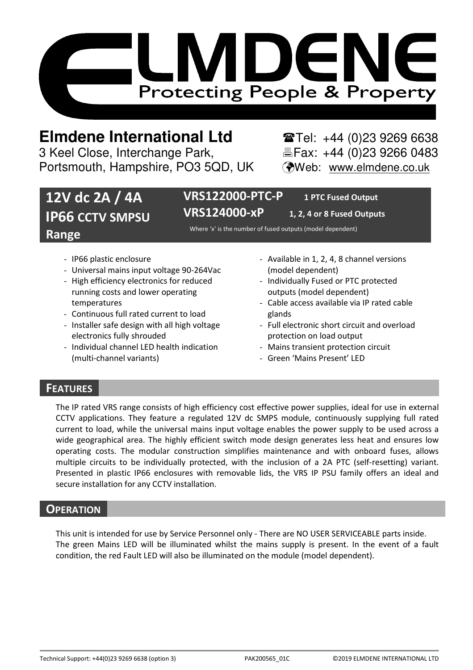

# **Elmdene International Ltd** Tel: +44 (0)23 9269 6638

3 Keel Close, Interchange Park, Electric Fax: +44 (0)23 9266 0483 Portsmouth, Hampshire, PO3 5QD, UK (Web: www.elmdene.co.uk

# **12V dc 2A / 4A IP66 CCTV SMPSU Range**

**VRS122000-PTC-P 1 PTC Fused Output VRS124000-xP 1, 2, 4 or 8 Fused Outputs** 

Where 'x' is the number of fused outputs (model dependent)

- IP66 plastic enclosure
- Universal mains input voltage 90-264Vac
- High efficiency electronics for reduced running costs and lower operating temperatures
- Continuous full rated current to load
- Installer safe design with all high voltage electronics fully shrouded
- Individual channel LED health indication (multi-channel variants)
- Available in 1, 2, 4, 8 channel versions (model dependent)
- Individually Fused or PTC protected outputs (model dependent)
- Cable access available via IP rated cable glands
- Full electronic short circuit and overload protection on load output
- Mains transient protection circuit
- Green 'Mains Present' LED

# **FEATURES**

The IP rated VRS range consists of high efficiency cost effective power supplies, ideal for use in external CCTV applications. They feature a regulated 12V dc SMPS module, continuously supplying full rated current to load, while the universal mains input voltage enables the power supply to be used across a wide geographical area. The highly efficient switch mode design generates less heat and ensures low operating costs. The modular construction simplifies maintenance and with onboard fuses, allows multiple circuits to be individually protected, with the inclusion of a 2A PTC (self-resetting) variant. Presented in plastic IP66 enclosures with removable lids, the VRS IP PSU family offers an ideal and secure installation for any CCTV installation.

# **OPERATION**

This unit is intended for use by Service Personnel only - There are NO USER SERVICEABLE parts inside. The green Mains LED will be illuminated whilst the mains supply is present. In the event of a fault condition, the red Fault LED will also be illuminated on the module (model dependent).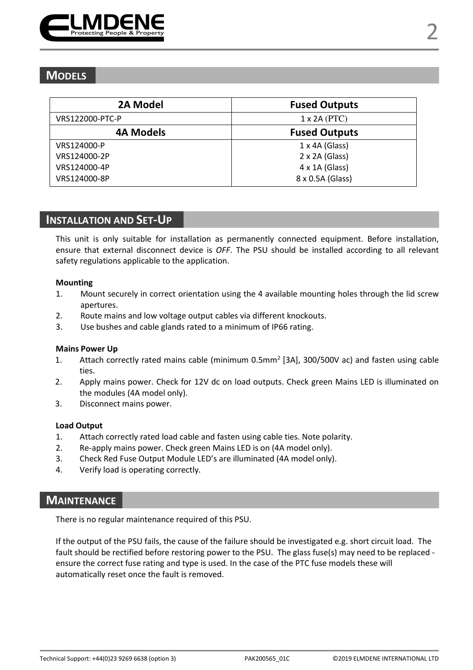

# **MODELS**

| 2A Model        | <b>Fused Outputs</b>  |
|-----------------|-----------------------|
| VRS122000-PTC-P | $1 \times 2A$ (PTC)   |
| 4A Models       | <b>Fused Outputs</b>  |
| VRS124000-P     | $1 \times 4A$ (Glass) |
| VRS124000-2P    | 2 x 2A (Glass)        |
| VRS124000-4P    | $4 \times 1A$ (Glass) |
| VRS124000-8P    | 8 x 0.5A (Glass)      |

## **INSTALLATION AND SET-UP**

This unit is only suitable for installation as permanently connected equipment. Before installation, ensure that external disconnect device is *OFF*. The PSU should be installed according to all relevant safety regulations applicable to the application.

#### **Mounting**

- 1. Mount securely in correct orientation using the 4 available mounting holes through the lid screw apertures.
- 2. Route mains and low voltage output cables via different knockouts.
- 3. Use bushes and cable glands rated to a minimum of IP66 rating.

#### **Mains Power Up**

- 1. Attach correctly rated mains cable (minimum 0.5mm<sup>2</sup> [3A], 300/500V ac) and fasten using cable ties.
- 2. Apply mains power. Check for 12V dc on load outputs. Check green Mains LED is illuminated on the modules (4A model only).
- 3. Disconnect mains power.

#### **Load Output**

- 1. Attach correctly rated load cable and fasten using cable ties. Note polarity.
- 2. Re-apply mains power. Check green Mains LED is on (4A model only).
- 3. Check Red Fuse Output Module LED's are illuminated (4A model only).
- 4. Verify load is operating correctly.

### **MAINTENANCE**

There is no regular maintenance required of this PSU.

If the output of the PSU fails, the cause of the failure should be investigated e.g. short circuit load. The fault should be rectified before restoring power to the PSU. The glass fuse(s) may need to be replaced ensure the correct fuse rating and type is used. In the case of the PTC fuse models these will automatically reset once the fault is removed.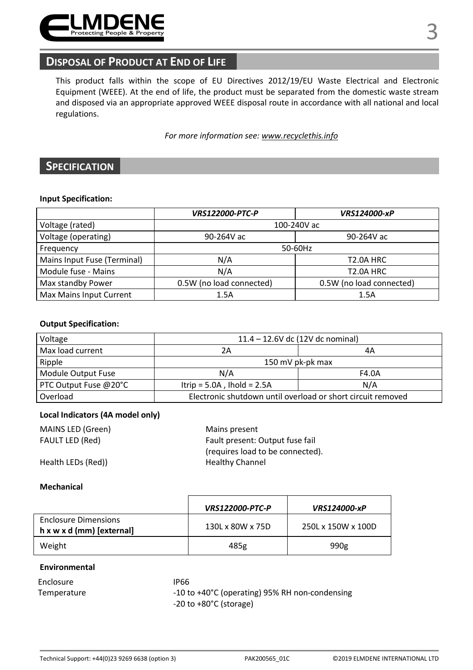

# **DISPOSAL OF PRODUCT AT END OF LIFE**

This product falls within the scope of EU Directives 2012/19/EU Waste Electrical and Electronic Equipment (WEEE). At the end of life, the product must be separated from the domestic waste stream and disposed via an appropriate approved WEEE disposal route in accordance with all national and local regulations.

*For more information see: www.recyclethis.info* 

# **SPECIFICATION**

#### **Input Specification:**

|                             | <b>VRS122000-PTC-P</b>   | <b>VRS124000-xP</b>      |  |
|-----------------------------|--------------------------|--------------------------|--|
| Voltage (rated)             | 100-240V ac              |                          |  |
| Voltage (operating)         | 90-264V ac               | 90-264V ac               |  |
| Frequency                   | 50-60Hz                  |                          |  |
| Mains Input Fuse (Terminal) | N/A                      | T <sub>2.0</sub> A HRC   |  |
| Module fuse - Mains         | N/A                      | T <sub>2.0</sub> A HRC   |  |
| Max standby Power           | 0.5W (no load connected) | 0.5W (no load connected) |  |
| Max Mains Input Current     | 1.5A                     | 1.5A                     |  |

#### **Output Specification:**

| Voltage               | 11.4 - 12.6V dc (12V dc nominal)                            |       |  |
|-----------------------|-------------------------------------------------------------|-------|--|
| Max load current      | 2Α                                                          | 4Α    |  |
| Ripple                | 150 mV pk-pk max                                            |       |  |
| Module Output Fuse    | N/A                                                         | F4.0A |  |
| PTC Output Fuse @20°C | Itrip = $5.0A$ , Ihold = $2.5A$                             | N/A   |  |
| Overload              | Electronic shutdown until overload or short circuit removed |       |  |

#### **Local Indicators (4A model only)**

| MAINS LED (Green)      | Mains present                    |  |
|------------------------|----------------------------------|--|
| <b>FAULT LED (Red)</b> | Fault present: Output fuse fail  |  |
|                        | (requires load to be connected). |  |
| Health LEDs (Red))     | <b>Healthy Channel</b>           |  |

#### **Mechanical**

|                                                          | <b>VRS122000-PTC-P</b> | <b>VRS124000-xP</b> |
|----------------------------------------------------------|------------------------|---------------------|
| <b>Enclosure Dimensions</b><br>h x w x d (mm) [external] | 130L x 80W x 75D       | 250L x 150W x 100D  |
| Weight                                                   | 485g                   | 990g                |

#### **Environmental**

| Enclosure   |  |
|-------------|--|
| Temperature |  |

IP66 -10 to +40°C (operating) 95% RH non-condensing -20 to +80°C (storage)

3